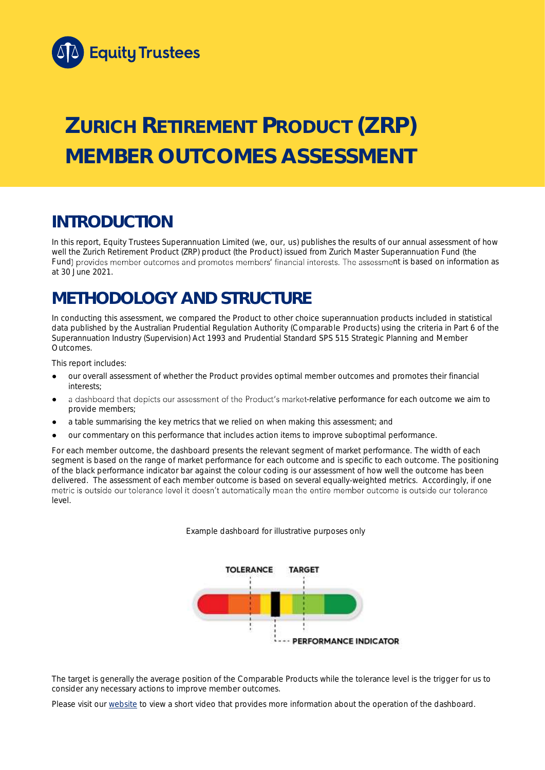

# **ZURICH RETIREMENT PRODUCT (ZRP) MEMBER OUTCOMES ASSESSMENT**

## **INTRODUCTION**

In this report, Equity Trustees Superannuation Limited (we, our, us) publishes the results of our annual assessment of how well the Zurich Retirement Product (ZRP) product (the Product) issued from Zurich Master Superannuation Fund (the Fund) provides member outcomes and promotes members' financial interests. The assessment is based on information as at 30 June 2021.

## **METHODOLOGY AND STRUCTURE**

In conducting this assessment, we compared the Product to other choice superannuation products included in statistical data published by the Australian Prudential Regulation Authority (Comparable Products) using the criteria in Part 6 of the *Superannuation Industry (Supervision) Act 1993* and Prudential Standard SPS 515 *Strategic Planning and Member Outcomes*.

This report includes:

- our overall assessment of whether the Product provides optimal member outcomes and promotes their financial interests;
- a dashboard that depicts our assessment of the Product's market-relative performance for each outcome we aim to provide members;
- a table summarising the key metrics that we relied on when making this assessment; and
- our commentary on this performance that includes action items to improve suboptimal performance.

For each member outcome, the dashboard presents the relevant segment of market performance. The width of each segment is based on the range of market performance for each outcome and is specific to each outcome. The positioning of the black performance indicator bar against the colour coding is our assessment of how well the outcome has been delivered. The assessment of each member outcome is based on several equally-weighted metrics. Accordingly, if one metric is outside our tolerance level it doesn't automatically mean the entire member outcome is outside our tolerance level.

*Example dashboard for illustrative purposes only*



The target is generally the average position of the Comparable Products while the tolerance level is the trigger for us to consider any necessary actions to improve member outcomes.

Please visit our [website](https://www.eqt.com.au/superannuation) to view a short video that provides more information about the operation of the dashboard.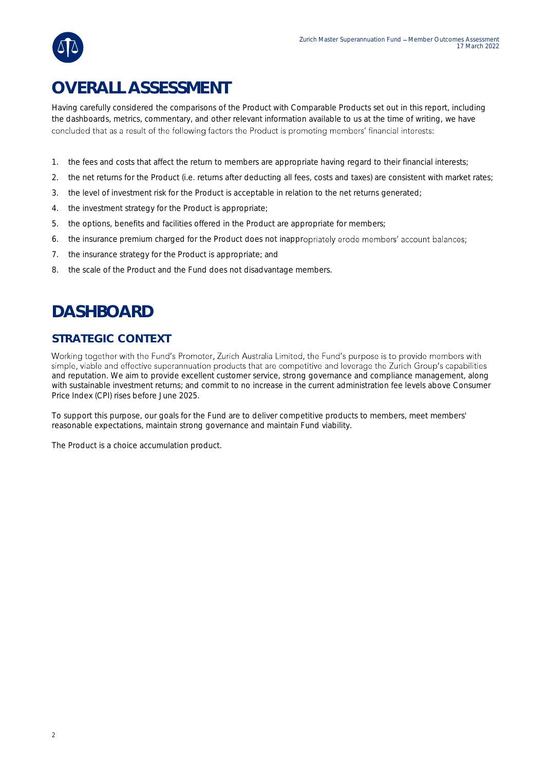

## **OVERALL ASSESSMENT**

Having carefully considered the comparisons of the Product with Comparable Products set out in this report, including the dashboards, metrics, commentary, and other relevant information available to us at the time of writing, we have concluded that as a result of the following factors the Product is promoting members' financial interests:

- 1. the fees and costs that affect the return to members are appropriate having regard to their financial interests;
- 2. the net returns for the Product (i.e. returns after deducting all fees, costs and taxes) are consistent with market rates;
- 3. the level of investment risk for the Product is acceptable in relation to the net returns generated;
- 4. the investment strategy for the Product is appropriate;
- 5. the options, benefits and facilities offered in the Product are appropriate for members;
- 6. the insurance premium charged for the Product does not inappropriately erode members' account balances;
- 7. the insurance strategy for the Product is appropriate; and
- 8. the scale of the Product and the Fund does not disadvantage members.

## **DASHBOARD**

### **STRATEGIC CONTEXT**

Working together with the Fund's Promoter, Zurich Australia Limited, the Fund's purpose is to provide members with simple, viable and effective superannuation products that are competitive and leverage the Zurich Group's capabilities and reputation. We aim to provide excellent customer service, strong governance and compliance management, along with sustainable investment returns; and commit to no increase in the current administration fee levels above Consumer Price Index (CPI) rises before June 2025.

To support this purpose, our goals for the Fund are to deliver competitive products to members, meet members' reasonable expectations, maintain strong governance and maintain Fund viability.

The Product is a choice accumulation product.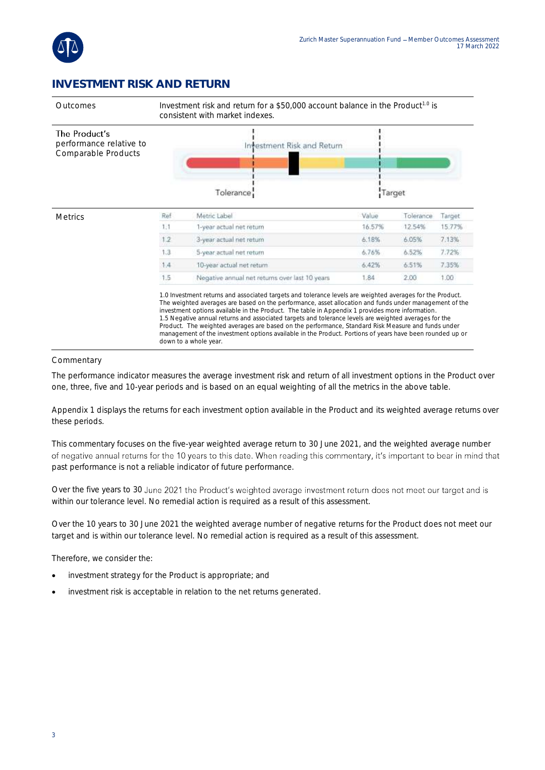

### **INVESTMENT RISK AND RETURN**



#### **Commentary**

The performance indicator measures the average investment risk and return of all investment options in the Product over one, three, five and 10-year periods and is based on an equal weighting of all the metrics in the above table.

Appendix 1 displays the returns for each investment option available in the Product and its weighted average returns over these periods.

This commentary focuses on the five-year weighted average return to 30 June 2021, and the weighted average number of negative annual returns for the 10 years to this date. When reading this commentary, it's important to bear in mind that past performance is not a reliable indicator of future performance.

Over the five years to 30 June 2021 the Product's weighted average investment return does not meet our target and is within our tolerance level. No remedial action is required as a result of this assessment.

Over the 10 years to 30 June 2021 the weighted average number of negative returns for the Product does not meet our target and is within our tolerance level. No remedial action is required as a result of this assessment.

Therefore, we consider the:

- investment strategy for the Product is appropriate; and
- investment risk is acceptable in relation to the net returns generated.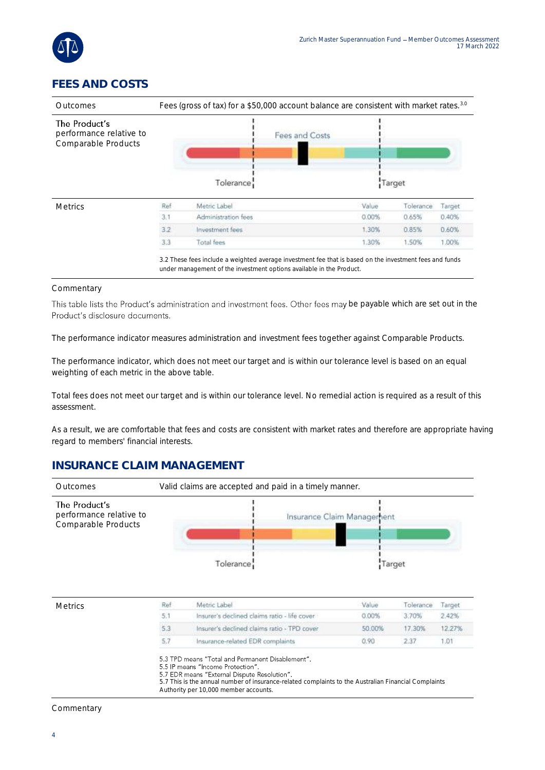

## **FEES AND COSTS**

| Outcomes                                                        | Fees (gross of tax) for a \$50,000 account balance are consistent with market rates. <sup>3.0</sup> |                     |                |       |           |        |
|-----------------------------------------------------------------|-----------------------------------------------------------------------------------------------------|---------------------|----------------|-------|-----------|--------|
| The Product's<br>performance relative to<br>Comparable Products |                                                                                                     |                     | Fees and Costs |       |           |        |
|                                                                 |                                                                                                     | Tolerance:          |                |       | Target    |        |
| <b>Metrics</b>                                                  | Ref                                                                                                 | Metric Label        |                | Value | Tolerance | Target |
|                                                                 | 3.1                                                                                                 | Administration fees |                | 0.00% | 0.65%     | 0.40%  |
|                                                                 | 3.2                                                                                                 | Investment fees     |                | 1.30% | 0.85%     | 0.60%  |
|                                                                 | 3.3                                                                                                 | Total fees          |                | 1.30% | 1.50%     | 1.00%  |

#### Commentary

This table lists the Product's administration and investment fees. Other fees may be payable which are set out in the Product's disclosure documents.

The performance indicator measures administration and investment fees together against Comparable Products.

The performance indicator, which does not meet our target and is within our tolerance level is based on an equal weighting of each metric in the above table.

Total fees does not meet our target and is within our tolerance level. No remedial action is required as a result of this assessment.

As a result, we are comfortable that fees and costs are consistent with market rates and therefore are appropriate having regard to members' financial interests.

#### **INSURANCE CLAIM MANAGEMENT**



#### **Commentary**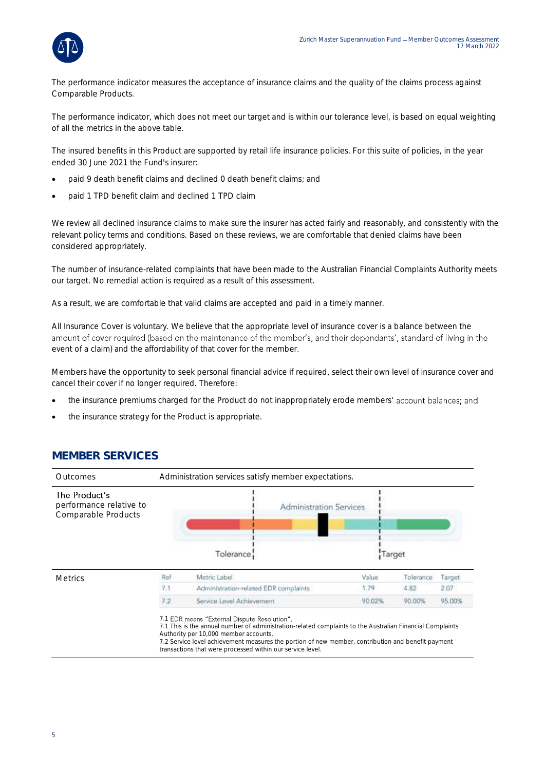

The performance indicator measures the acceptance of insurance claims and the quality of the claims process against Comparable Products.

The performance indicator, which does not meet our target and is within our tolerance level, is based on equal weighting of all the metrics in the above table.

The insured benefits in this Product are supported by retail life insurance policies. For this suite of policies, in the year ended 30 June 2021 the Fund's insurer:

- paid 9 death benefit claims and declined 0 death benefit claims; and
- paid 1 TPD benefit claim and declined 1 TPD claim

We review all declined insurance claims to make sure the insurer has acted fairly and reasonably, and consistently with the relevant policy terms and conditions. Based on these reviews, we are comfortable that denied claims have been considered appropriately.

The number of insurance-related complaints that have been made to the Australian Financial Complaints Authority meets our target. No remedial action is required as a result of this assessment.

As a result, we are comfortable that valid claims are accepted and paid in a timely manner.

All Insurance Cover is voluntary. We believe that the appropriate level of insurance cover is a balance between the amount of cover required (based on the maintenance of the member's, and their dependants', standard of living in the event of a claim) and the affordability of that cover for the member.

Members have the opportunity to seek personal financial advice if required, select their own level of insurance cover and cancel their cover if no longer required. Therefore:

- the insurance premiums charged for the Product do not inappropriately erode members' account balances; and
- the insurance strategy for the Product is appropriate.

### **MEMBER SERVICES**

| Outcomes                                                        | Administration services satisfy member expectations. |                                                                                                                                                                                                                                                                                                                                                                        |        |           |        |
|-----------------------------------------------------------------|------------------------------------------------------|------------------------------------------------------------------------------------------------------------------------------------------------------------------------------------------------------------------------------------------------------------------------------------------------------------------------------------------------------------------------|--------|-----------|--------|
| The Product's<br>performance relative to<br>Comparable Products |                                                      | <b>Administration Services</b>                                                                                                                                                                                                                                                                                                                                         |        |           |        |
|                                                                 |                                                      | Tolerance                                                                                                                                                                                                                                                                                                                                                              |        | Target    |        |
| <b>Metrics</b>                                                  | Ref                                                  | Metric Label                                                                                                                                                                                                                                                                                                                                                           | Value  | Tolerance | Target |
|                                                                 | 7.1                                                  | Administration-related EDR complaints                                                                                                                                                                                                                                                                                                                                  | 1.79   | 4.82      | 2.07   |
|                                                                 | 7.2                                                  | Service Level Achievement                                                                                                                                                                                                                                                                                                                                              | 90.02% | 90.00%    | 95.00% |
|                                                                 |                                                      | 7.1 EDR means "External Dispute Resolution".<br>7.1 This is the annual number of administration-related complaints to the Australian Financial Complaints<br>Authority per 10,000 member accounts.<br>7.2 Service level achievement measures the portion of new member, contribution and benefit payment<br>transactions that were processed within our service level. |        |           |        |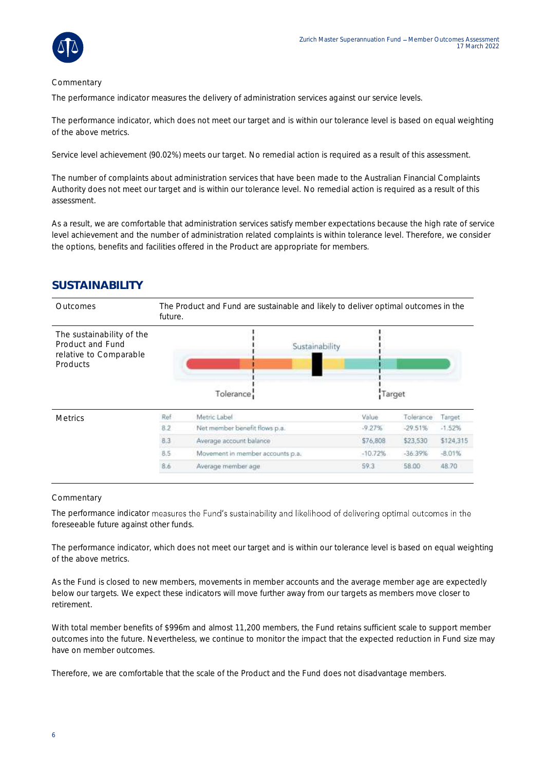

#### Commentary

The performance indicator measures the delivery of administration services against our service levels.

The performance indicator, which does not meet our target and is within our tolerance level is based on equal weighting of the above metrics.

Service level achievement (90.02%) meets our target. No remedial action is required as a result of this assessment.

The number of complaints about administration services that have been made to the Australian Financial Complaints Authority does not meet our target and is within our tolerance level. No remedial action is required as a result of this assessment.

As a result, we are comfortable that administration services satisfy member expectations because the high rate of service level achievement and the number of administration related complaints is within tolerance level. Therefore, we consider the options, benefits and facilities offered in the Product are appropriate for members.

### **SUSTAINABILITY**

| Outcomes                                                                            | The Product and Fund are sustainable and likely to deliver optimal outcomes in the<br>future. |                                  |           |           |           |
|-------------------------------------------------------------------------------------|-----------------------------------------------------------------------------------------------|----------------------------------|-----------|-----------|-----------|
| The sustainability of the<br>Product and Fund<br>relative to Comparable<br>Products |                                                                                               | Sustainability<br>Tolerance      | Target    |           |           |
| <b>Metrics</b>                                                                      | Ref                                                                                           | Metric Label                     | Value     | Tolerance | Target.   |
|                                                                                     | 8.2                                                                                           | Net member benefit flows p.a.    | $-9.27%$  | $-29.51%$ | $-1.52%$  |
|                                                                                     | 8.3                                                                                           | Average account balance          | \$76,808  | \$23,530  | \$124,315 |
|                                                                                     | 8.5                                                                                           | Movement in member accounts p.a. | $-10.72%$ | $-36.39%$ | $-8.01%$  |
|                                                                                     | 8.6                                                                                           | Average member age               | 59.3      | 58.00     | 48.70     |

#### **Commentary**

The performance indicator measures the Fund's sustainability and likelihood of delivering optimal outcomes in the foreseeable future against other funds.

The performance indicator, which does not meet our target and is within our tolerance level is based on equal weighting of the above metrics.

As the Fund is closed to new members, movements in member accounts and the average member age are expectedly below our targets. We expect these indicators will move further away from our targets as members move closer to retirement.

With total member benefits of \$996m and almost 11,200 members, the Fund retains sufficient scale to support member outcomes into the future. Nevertheless, we continue to monitor the impact that the expected reduction in Fund size may have on member outcomes.

Therefore, we are comfortable that the scale of the Product and the Fund does not disadvantage members.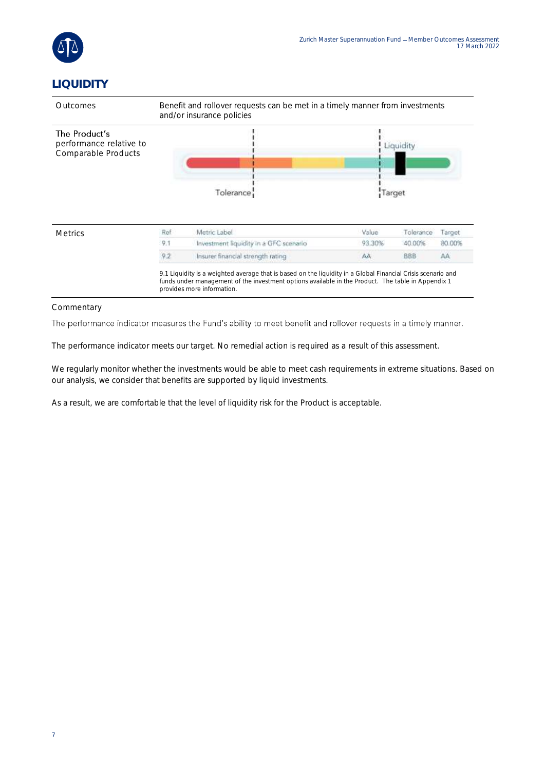

## **LIQUIDITY**



#### Commentary

The performance indicator measures the Fund's ability to meet benefit and rollover requests in a timely manner.

The performance indicator meets our target. No remedial action is required as a result of this assessment.

We regularly monitor whether the investments would be able to meet cash requirements in extreme situations. Based on our analysis, we consider that benefits are supported by liquid investments.

As a result, we are comfortable that the level of liquidity risk for the Product is acceptable.